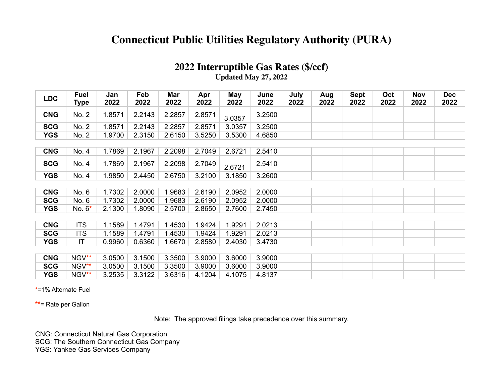## **Connecticut Public Utilities Regulatory Authority (PURA)**

| 2022 Interruptible Gas Rates (\$/ccf) |
|---------------------------------------|
| Updated May 27, 2022                  |

| <b>LDC</b> | <b>Fuel</b><br>Type | Jan<br>2022 | Feb<br>2022 | Mar<br>2022 | Apr<br>2022 | May<br>2022 | June<br>2022 | July<br>2022 | Aug<br>2022 | <b>Sept</b><br>2022 | Oct<br>2022 | Nov<br>2022 | <b>Dec</b><br>2022 |
|------------|---------------------|-------------|-------------|-------------|-------------|-------------|--------------|--------------|-------------|---------------------|-------------|-------------|--------------------|
| <b>CNG</b> | No. 2               | 1.8571      | 2.2143      | 2.2857      | 2.8571      | 3.0357      | 3.2500       |              |             |                     |             |             |                    |
| <b>SCG</b> | No. 2               | 1.8571      | 2.2143      | 2.2857      | 2.8571      | 3.0357      | 3.2500       |              |             |                     |             |             |                    |
| <b>YGS</b> | No. 2               | 1.9700      | 2.3150      | 2.6150      | 3.5250      | 3.5300      | 4.6850       |              |             |                     |             |             |                    |
|            |                     |             |             |             |             |             |              |              |             |                     |             |             |                    |
| <b>CNG</b> | No. 4               | 1.7869      | 2.1967      | 2.2098      | 2.7049      | 2.6721      | 2.5410       |              |             |                     |             |             |                    |
| <b>SCG</b> | No. 4               | 1.7869      | 2.1967      | 2.2098      | 2.7049      | 2.6721      | 2.5410       |              |             |                     |             |             |                    |
| <b>YGS</b> | No. 4               | 1.9850      | 2.4450      | 2.6750      | 3.2100      | 3.1850      | 3.2600       |              |             |                     |             |             |                    |
|            |                     |             |             |             |             |             |              |              |             |                     |             |             |                    |
| <b>CNG</b> | No. 6               | 1.7302      | 2.0000      | 1.9683      | 2.6190      | 2.0952      | 2.0000       |              |             |                     |             |             |                    |
| <b>SCG</b> | No. 6               | 1.7302      | 2.0000      | 1.9683      | 2.6190      | 2.0952      | 2.0000       |              |             |                     |             |             |                    |
| <b>YGS</b> | No. $6*$            | 2.1300      | 1.8090      | 2.5700      | 2.8650      | 2.7600      | 2.7450       |              |             |                     |             |             |                    |
|            |                     |             |             |             |             |             |              |              |             |                     |             |             |                    |
| <b>CNG</b> | <b>ITS</b>          | 1.1589      | 1.4791      | 1.4530      | 1.9424      | 1.9291      | 2.0213       |              |             |                     |             |             |                    |
| <b>SCG</b> | <b>ITS</b>          | 1.1589      | 1.4791      | 1.4530      | 1.9424      | 1.9291      | 2.0213       |              |             |                     |             |             |                    |
| <b>YGS</b> | IT.                 | 0.9960      | 0.6360      | 1.6670      | 2.8580      | 2.4030      | 3.4730       |              |             |                     |             |             |                    |
|            |                     |             |             |             |             |             |              |              |             |                     |             |             |                    |
| <b>CNG</b> | NGV**               | 3.0500      | 3.1500      | 3.3500      | 3.9000      | 3.6000      | 3.9000       |              |             |                     |             |             |                    |
| <b>SCG</b> | NGV**               | 3.0500      | 3.1500      | 3.3500      | 3.9000      | 3.6000      | 3.9000       |              |             |                     |             |             |                    |
| <b>YGS</b> | NGV**               | 3.2535      | 3.3122      | 3.6316      | 4.1204      | 4.1075      | 4.8137       |              |             |                     |             |             |                    |

**\***=1% Alternate Fuel

**\*\***= Rate per Gallon

Note: The approved filings take precedence over this summary.

CNG: Connecticut Natural Gas Corporation

SCG: The Southern Connecticut Gas Company

YGS: Yankee Gas Services Company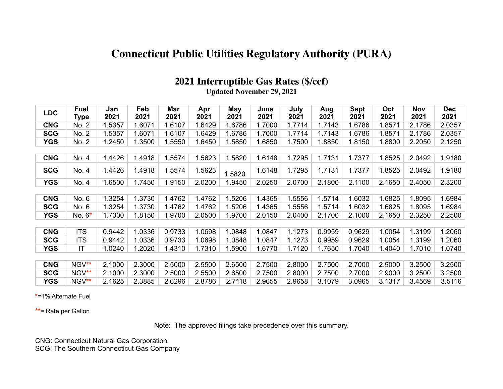## **Connecticut Public Utilities Regulatory Authority (PURA)**

## **2021 Interruptible Gas Rates (\$/ccf)**

**Updated November 29, 2021**

| <b>LDC</b> | <b>Fuel</b><br>Type | Jan<br>2021 | Feb<br>2021 | Mar<br>2021 | Apr<br>2021 | May<br>2021 | June<br>2021 | July<br>2021 | Aug<br>2021 | <b>Sept</b><br>2021 | Oct<br>2021 | <b>Nov</b><br>2021 | <b>Dec</b><br>2021 |
|------------|---------------------|-------------|-------------|-------------|-------------|-------------|--------------|--------------|-------------|---------------------|-------------|--------------------|--------------------|
| <b>CNG</b> | No. 2               | 1.5357      | 1.6071      | 1.6107      | 1.6429      | 1.6786      | 1.7000       | 1.7714       | 1.7143      | 1.6786              | 1.8571      | 2.1786             | 2.0357             |
| <b>SCG</b> | No. 2               | 1.5357      | 1.6071      | 1.6107      | 1.6429      | 1.6786      | 1.7000       | 1.7714       | 1.7143      | 1.6786              | 1.8571      | 2.1786             | 2.0357             |
| <b>YGS</b> | No. 2               | 1.2450      | 1.3500      | 1.5550      | 1.6450      | 1.5850      | 1.6850       | 1.7500       | 1.8850      | 1.8150              | 1.8800      | 2.2050             | 2.1250             |
|            |                     |             |             |             |             |             |              |              |             |                     |             |                    |                    |
| <b>CNG</b> | No. 4               | 1.4426      | 1.4918      | 1.5574      | 1.5623      | 1.5820      | 1.6148       | 1.7295       | 1.7131      | 1.7377              | 1.8525      | 2.0492             | 1.9180             |
| <b>SCG</b> | No. 4               | 1.4426      | 1.4918      | 1.5574      | 1.5623      | 1.5820      | 1.6148       | 1.7295       | 1.7131      | 1.7377              | 1.8525      | 2.0492             | 1.9180             |
| <b>YGS</b> | No. 4               | 1.6500      | 1.7450      | 1.9150      | 2.0200      | 1.9450      | 2.0250       | 2.0700       | 2.1800      | 2.1100              | 2.1650      | 2.4050             | 2.3200             |
|            |                     |             |             |             |             |             |              |              |             |                     |             |                    |                    |
| <b>CNG</b> | No. 6               | 1.3254      | 1.3730      | 1.4762      | 1.4762      | .5206       | 1.4365       | 1.5556       | 1.5714      | 1.6032              | 1.6825      | 1.8095             | 1.6984             |
| <b>SCG</b> | No. 6               | 1.3254      | 1.3730      | 1.4762      | 1.4762      | .5206       | 1.4365       | 1.5556       | 1.5714      | 1.6032              | 1.6825      | 1.8095             | 1.6984             |
| <b>YGS</b> | No. $6*$            | 1.7300      | 1.8150      | 1.9700      | 2.0500      | 1.9700      | 2.0150       | 2.0400       | 2.1700      | 2.1000              | 2.1650      | 2.3250             | 2.2500             |
|            |                     |             |             |             |             |             |              |              |             |                     |             |                    |                    |
| <b>CNG</b> | <b>ITS</b>          | 0.9442      | 1.0336      | 0.9733      | 1.0698      | 1.0848      | 1.0847       | 1.1273       | 0.9959      | 0.9629              | 1.0054      | 1.3199             | 1.2060             |
| <b>SCG</b> | <b>ITS</b>          | 0.9442      | 1.0336      | 0.9733      | 1.0698      | 1.0848      | 1.0847       | 1.1273       | 0.9959      | 0.9629              | 1.0054      | 1.3199             | 1.2060             |
| <b>YGS</b> | IT                  | 1.0240      | 1.2020      | 1.4310      | 1.7310      | 1.5900      | 1.6770       | 1.7120       | 1.7650      | 1.7040              | 1.4040      | 1.7010             | 1.0740             |
|            |                     |             |             |             |             |             |              |              |             |                     |             |                    |                    |
| <b>CNG</b> | NGV**               | 2.1000      | 2.3000      | 2.5000      | 2.5500      | 2.6500      | 2.7500       | 2.8000       | 2.7500      | 2.7000              | 2.9000      | 3.2500             | 3.2500             |
| <b>SCG</b> | NGV**               | 2.1000      | 2.3000      | 2.5000      | 2.5500      | 2.6500      | 2.7500       | 2.8000       | 2.7500      | 2.7000              | 2.9000      | 3.2500             | 3.2500             |
| <b>YGS</b> | NGV**               | 2.1625      | 2.3885      | 2.6296      | 2.8786      | 2.7118      | 2.9655       | 2.9658       | 3.1079      | 3.0965              | 3.1317      | 3.4569             | 3.5116             |

**\***=1% Alternate Fuel

**\*\***= Rate per Gallon

Note: The approved filings take precedence over this summary.

CNG: Connecticut Natural Gas Corporation

SCG: The Southern Connecticut Gas Company